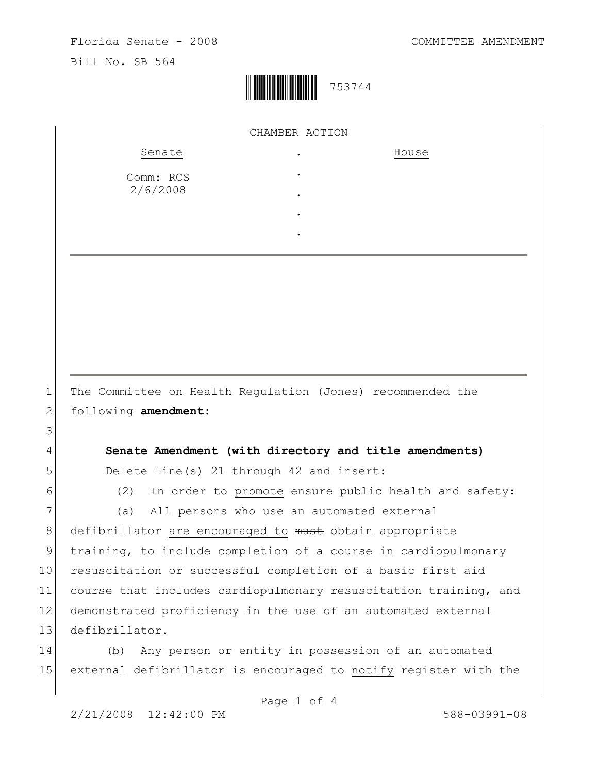

| Senate                | $\bullet$ | House |  |
|-----------------------|-----------|-------|--|
| Comm: RCS<br>2/6/2008 | $\bullet$ |       |  |
|                       | $\bullet$ |       |  |
|                       | $\bullet$ |       |  |

1 The Committee on Health Regulation (Jones) recommended the 2 following **amendment:**

4 **Senate Amendment (with directory and title amendments)** 5 Delete line(s) 21 through 42 and insert:

3

 $6$  (2) In order to promote ensure public health and safety:

7 (a) All persons who use an automated external

8 defibrillator are encouraged to must obtain appropriate 9 training, to include completion of a course in cardiopulmonary 10 resuscitation or successful completion of a basic first aid 11 course that includes cardiopulmonary resuscitation training, and 12 demonstrated proficiency in the use of an automated external 13 defibrillator.

14 (b) Any person or entity in possession of an automated 15 external defibrillator is encouraged to notify register with the

Page 1 of 4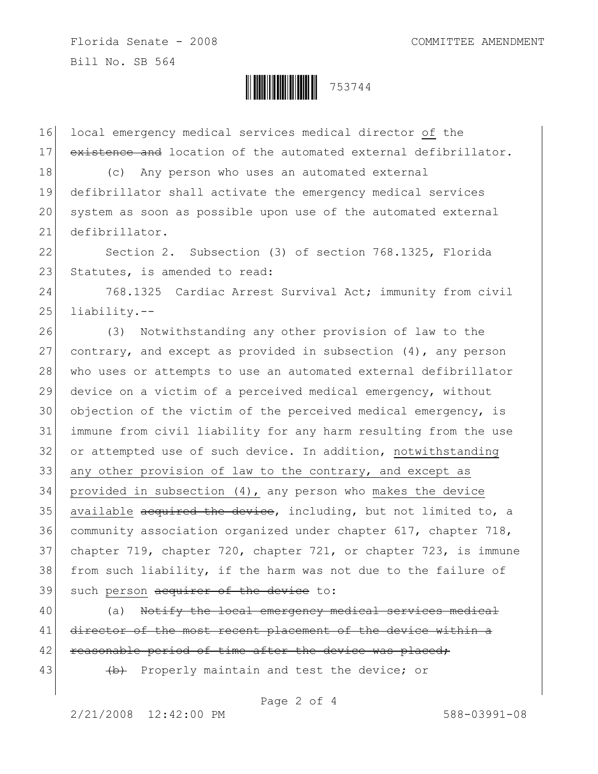Florida Senate - 2008 COMMITTEE AMENDMENT Bill No. SB 564



16 local emergency medical services medical director of the 17 existence and location of the automated external defibrillator.

18 (c) Any person who uses an automated external defibrillator shall activate the emergency medical services system as soon as possible upon use of the automated external defibrillator.

22 Section 2. Subsection (3) of section 768.1325, Florida 23 Statutes, is amended to read:

24 768.1325 Cardiac Arrest Survival Act; immunity from civil  $25$  liability.--

 (3) Notwithstanding any other provision of law to the 27 contrary, and except as provided in subsection  $(4)$ , any person 28 who uses or attempts to use an automated external defibrillator device on a victim of a perceived medical emergency, without objection of the victim of the perceived medical emergency, is immune from civil liability for any harm resulting from the use 32 or attempted use of such device. In addition, notwithstanding any other provision of law to the contrary, and except as provided in subsection (4), any person who makes the device 35 available  $\alpha$  acquired the device, including, but not limited to, a community association organized under chapter 617, chapter 718, chapter 719, chapter 720, chapter 721, or chapter 723, is immune from such liability, if the harm was not due to the failure of 39 such person acquirer of the device to:

40 (a) Notify the local emergency medical services medical 41 director of the most recent placement of the device within a 42 reasonable period of time after the device was placed;

43 (b) Properly maintain and test the device; or

Page 2 of 4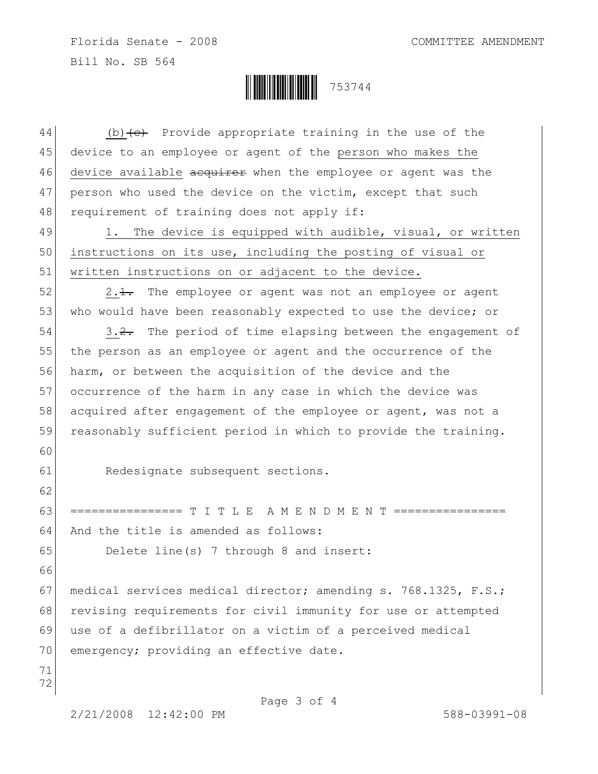Florida Senate - 2008 COMMITTEE AMENDMENT Bill No. SB 564



Page 3 of 4 44 (b)  $\left\{ \frac{e}{c} \right\}$  Provide appropriate training in the use of the 45 device to an employee or agent of the person who makes the 46 device available acquirer when the employee or agent was the 47 person who used the device on the victim, except that such 48 requirement of training does not apply if:  $49$  1. The device is equipped with audible, visual, or written 50 instructions on its use, including the posting of visual or 51 written instructions on or adjacent to the device.  $52$  2.1. The employee or agent was not an employee or agent 53 who would have been reasonably expected to use the device; or 54 3.2. The period of time elapsing between the engagement of 55 the person as an employee or agent and the occurrence of the 56 harm, or between the acquisition of the device and the 57 occurrence of the harm in any case in which the device was 58 acquired after engagement of the employee or agent, was not a 59 reasonably sufficient period in which to provide the training. 60 61 Redesignate subsequent sections. 62 63 ================ T I T L E A M E N D M E N T ================ 64 And the title is amended as follows: 65 Delete line(s) 7 through 8 and insert: 66 67 medical services medical director; amending s. 768.1325, F.S.; 68 revising requirements for civil immunity for use or attempted 69 use of a defibrillator on a victim of a perceived medical 70 emergency; providing an effective date. 71 72

2/21/2008 12:42:00 PM 588-03991-08